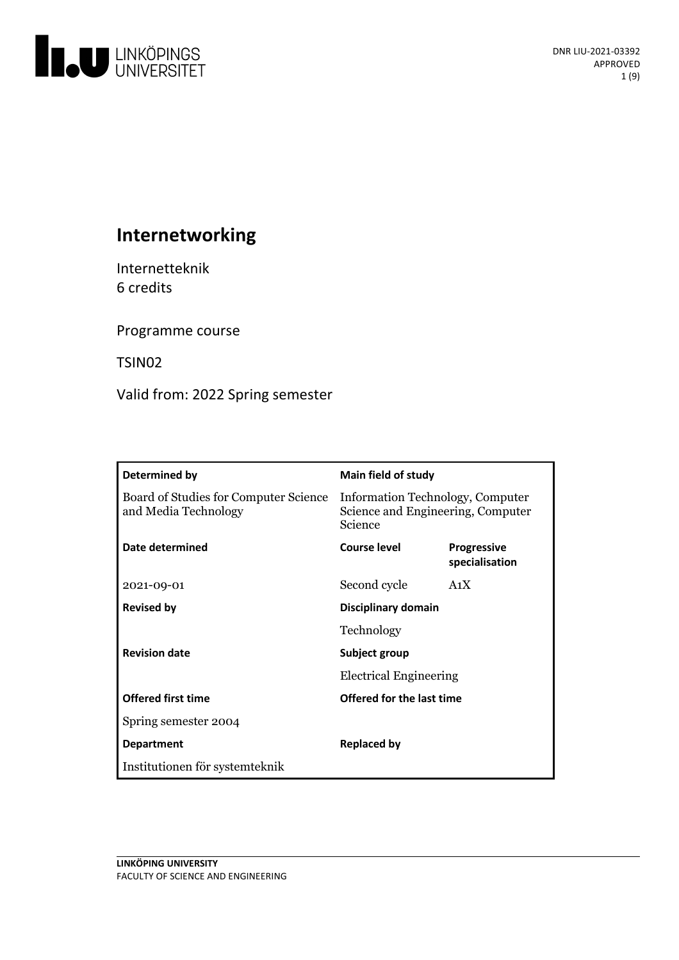

# **Internetworking**

Internetteknik 6 credits

Programme course

TSIN02

Valid from: 2022 Spring semester

| Determined by                                                 | Main field of study                                                              |                                      |
|---------------------------------------------------------------|----------------------------------------------------------------------------------|--------------------------------------|
| Board of Studies for Computer Science<br>and Media Technology | Information Technology, Computer<br>Science and Engineering, Computer<br>Science |                                      |
| Date determined                                               | Course level                                                                     | <b>Progressive</b><br>specialisation |
| 2021-09-01                                                    | Second cycle                                                                     | A <sub>1</sub> X                     |
| <b>Revised by</b>                                             | Disciplinary domain                                                              |                                      |
|                                                               | Technology                                                                       |                                      |
| <b>Revision date</b>                                          | Subject group                                                                    |                                      |
|                                                               | <b>Electrical Engineering</b>                                                    |                                      |
| <b>Offered first time</b>                                     | Offered for the last time                                                        |                                      |
| Spring semester 2004                                          |                                                                                  |                                      |
| <b>Department</b>                                             | <b>Replaced by</b>                                                               |                                      |
| Institutionen för systemteknik                                |                                                                                  |                                      |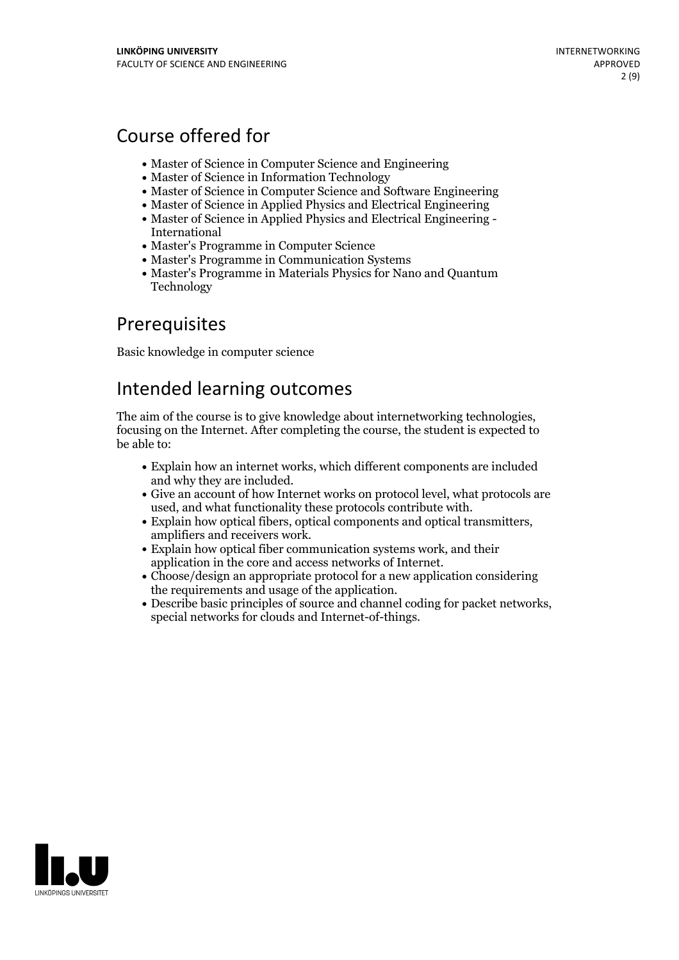# Course offered for

- Master of Science in Computer Science and Engineering
- Master of Science in Information Technology
- Master of Science in Computer Science and Software Engineering
- Master of Science in Applied Physics and Electrical Engineering
- Master of Science in Applied Physics and Electrical Engineering International
- Master's Programme in Computer Science
- Master's Programme in Communication Systems
- Master's Programme in Materials Physics for Nano and Quantum Technology

## Prerequisites

Basic knowledge in computer science

## Intended learning outcomes

The aim of the course is to give knowledge about internetworking technologies, focusing on the Internet. After completing the course, the student is expected to be able to:

- Explain how an internet works, which different components are included
- Give an account of how Internet works on protocol level, what protocols are
- used, and what functionality these protocols contribute with.<br>• Explain how optical fibers, optical components and optical transmitters, amplifiers and receivers work.<br>• Explain how optical fiber communication systems work
- 
- application in the core and access networks of Internet.<br>• Choose/design an appropriate protocol for a new application considering
- the requirements and usage of the application.<br>• Describe basic principles of source and channel coding for packet networks, special networks for clouds and Internet-of-things.

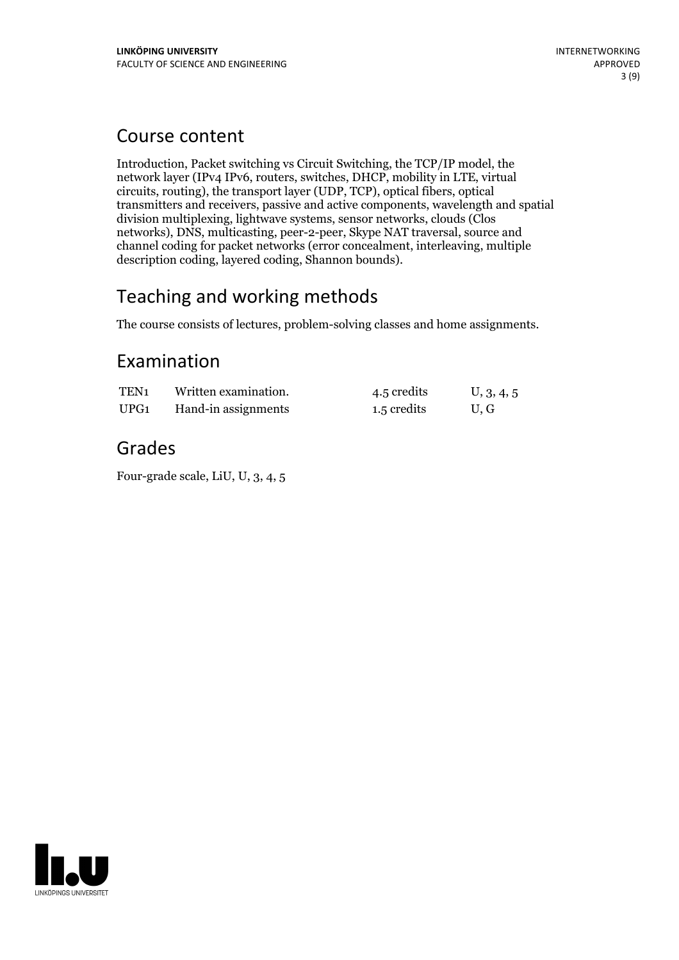## Course content

Introduction, Packet switching vs Circuit Switching, the TCP/IP model, the network layer (IPv4 IPv6, routers, switches, DHCP, mobility in LTE, virtual circuits, routing), the transport layer (UDP, TCP), optical fibers, optical transmitters and receivers, passive and active components, wavelength and spatial division multiplexing, lightwave systems, sensor networks, clouds (Clos networks), DNS, multicasting, peer-2-peer, Skype NAT traversal, source and channel coding for packet networks (error concealment, interleaving, multiple description coding, layered coding, Shannon bounds).

# Teaching and working methods

The course consists of lectures, problem-solving classes and home assignments.

## Examination

| TEN <sub>1</sub> | Written examination. | 4.5 credits | U, 3, 4, 5 |
|------------------|----------------------|-------------|------------|
| UPG <sub>1</sub> | Hand-in assignments  | 1.5 credits | U.G        |

## Grades

Four-grade scale, LiU, U, 3, 4, 5

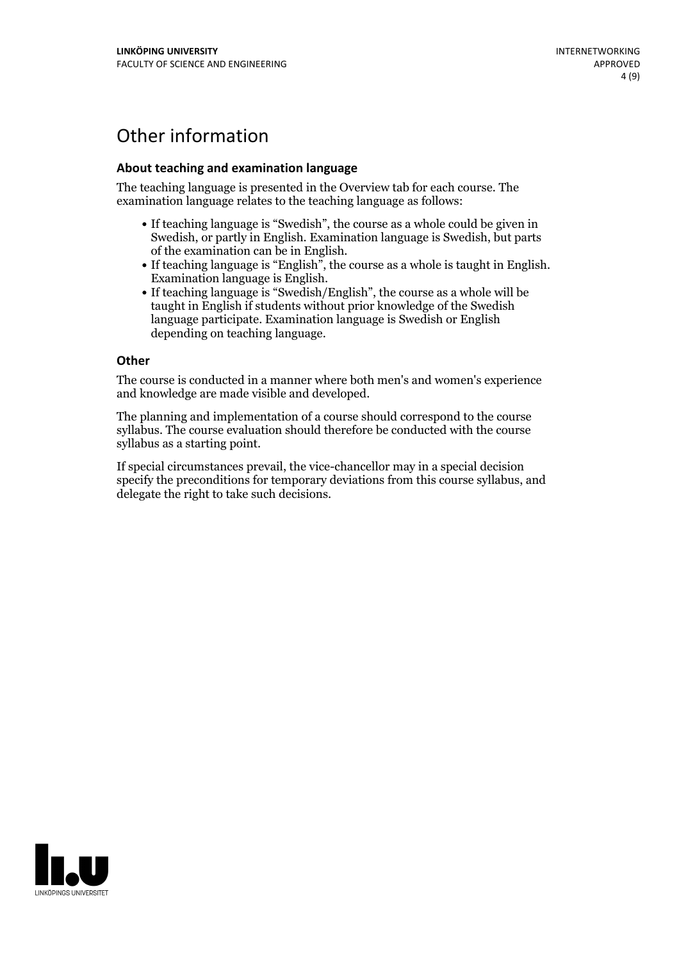# Other information

### **About teaching and examination language**

The teaching language is presented in the Overview tab for each course. The examination language relates to the teaching language as follows:

- If teaching language is "Swedish", the course as a whole could be given in Swedish, or partly in English. Examination language is Swedish, but parts
- of the examination can be in English. If teaching language is "English", the course as <sup>a</sup> whole is taught in English. Examination language is English. If teaching language is "Swedish/English", the course as <sup>a</sup> whole will be
- taught in English if students without prior knowledge of the Swedish language participate. Examination language is Swedish or English depending on teaching language.

#### **Other**

The course is conducted in a manner where both men's and women's experience and knowledge are made visible and developed.

The planning and implementation of a course should correspond to the course syllabus. The course evaluation should therefore be conducted with the course syllabus as a starting point.

If special circumstances prevail, the vice-chancellor may in a special decision specify the preconditions for temporary deviations from this course syllabus, and delegate the right to take such decisions.

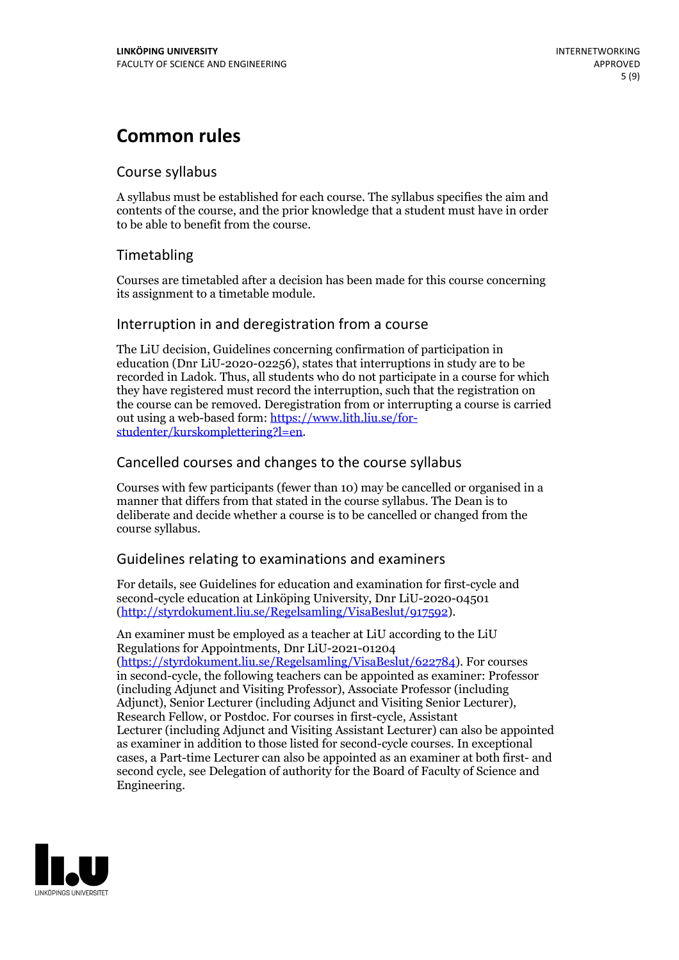## **Common rules**

## Course syllabus

A syllabus must be established for each course. The syllabus specifies the aim and contents of the course, and the prior knowledge that a student must have in order to be able to benefit from the course.

## Timetabling

Courses are timetabled after a decision has been made for this course concerning its assignment to a timetable module.

## Interruption in and deregistration from a course

The LiU decision, Guidelines concerning confirmation of participation in education (Dnr LiU-2020-02256), states that interruptions in study are to be recorded in Ladok. Thus, all students who do not participate in a course for which they have registered must record the interruption, such that the registration on the course can be removed. Deregistration from or interrupting a course is carried out using <sup>a</sup> web-based form: https://www.lith.liu.se/for- [studenter/kurskomplettering?l=en.](https://www.lith.liu.se/for-studenter/kurskomplettering?l=en)

## Cancelled courses and changes to the course syllabus

Courses with few participants (fewer than 10) may be cancelled or organised in a manner that differs from that stated in the course syllabus. The Dean is to deliberate and decide whether a course is to be cancelled or changed from the course syllabus.

## Guidelines relating to examinations and examiners

For details, see Guidelines for education and examination for first-cycle and second-cycle education at Linköping University, Dnr LiU-2020-04501 [\(http://styrdokument.liu.se/Regelsamling/VisaBeslut/917592\)](http://styrdokument.liu.se/Regelsamling/VisaBeslut/917592).

An examiner must be employed as a teacher at LiU according to the LiU Regulations for Appointments, Dnr LiU-2021-01204 [\(https://styrdokument.liu.se/Regelsamling/VisaBeslut/622784](https://styrdokument.liu.se/Regelsamling/VisaBeslut/622784)). For courses in second-cycle, the following teachers can be appointed as examiner: Professor (including Adjunct and Visiting Professor), Associate Professor (including Adjunct), Senior Lecturer (including Adjunct and Visiting Senior Lecturer), Research Fellow, or Postdoc. For courses in first-cycle, Assistant Lecturer (including Adjunct and Visiting Assistant Lecturer) can also be appointed as examiner in addition to those listed for second-cycle courses. In exceptional cases, a Part-time Lecturer can also be appointed as an examiner at both first- and second cycle, see Delegation of authority for the Board of Faculty of Science and Engineering.

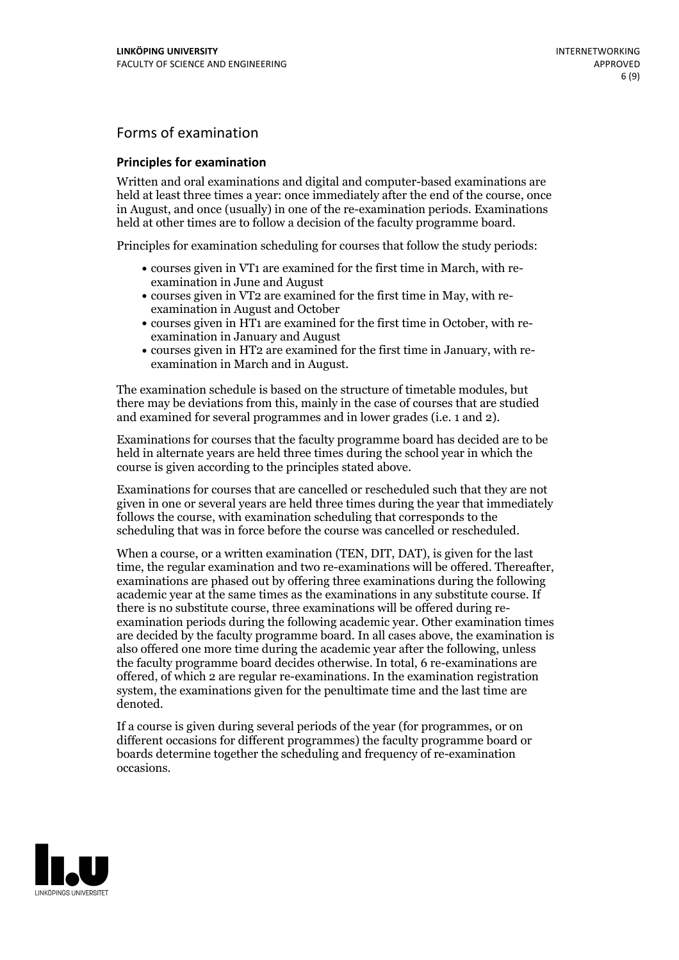## Forms of examination

### **Principles for examination**

Written and oral examinations and digital and computer-based examinations are held at least three times a year: once immediately after the end of the course, once in August, and once (usually) in one of the re-examination periods. Examinations held at other times are to follow a decision of the faculty programme board.

Principles for examination scheduling for courses that follow the study periods:

- courses given in VT1 are examined for the first time in March, with re-examination in June and August
- courses given in VT2 are examined for the first time in May, with re-examination in August and October
- courses given in HT1 are examined for the first time in October, with re-examination in January and August
- courses given in HT2 are examined for the first time in January, with re-examination in March and in August.

The examination schedule is based on the structure of timetable modules, but there may be deviations from this, mainly in the case of courses that are studied and examined for several programmes and in lower grades (i.e. 1 and 2).

Examinations for courses that the faculty programme board has decided are to be held in alternate years are held three times during the school year in which the course is given according to the principles stated above.

Examinations for courses that are cancelled orrescheduled such that they are not given in one or several years are held three times during the year that immediately follows the course, with examination scheduling that corresponds to the scheduling that was in force before the course was cancelled or rescheduled.

When a course, or a written examination (TEN, DIT, DAT), is given for the last time, the regular examination and two re-examinations will be offered. Thereafter, examinations are phased out by offering three examinations during the following academic year at the same times as the examinations in any substitute course. If there is no substitute course, three examinations will be offered during re- examination periods during the following academic year. Other examination times are decided by the faculty programme board. In all cases above, the examination is also offered one more time during the academic year after the following, unless the faculty programme board decides otherwise. In total, 6 re-examinations are offered, of which 2 are regular re-examinations. In the examination registration system, the examinations given for the penultimate time and the last time are denoted.

If a course is given during several periods of the year (for programmes, or on different occasions for different programmes) the faculty programme board or boards determine together the scheduling and frequency of re-examination occasions.

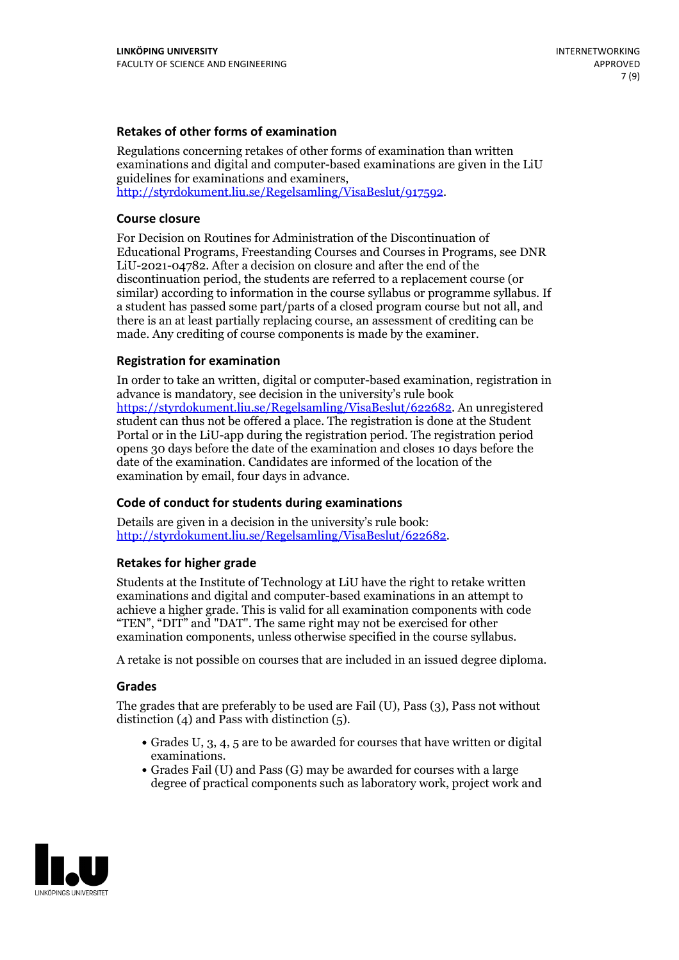### **Retakes of other forms of examination**

Regulations concerning retakes of other forms of examination than written examinations and digital and computer-based examinations are given in the LiU guidelines for examinations and examiners, [http://styrdokument.liu.se/Regelsamling/VisaBeslut/917592.](http://styrdokument.liu.se/Regelsamling/VisaBeslut/917592)

### **Course closure**

For Decision on Routines for Administration of the Discontinuation of Educational Programs, Freestanding Courses and Courses in Programs, see DNR LiU-2021-04782. After a decision on closure and after the end of the discontinuation period, the students are referred to a replacement course (or similar) according to information in the course syllabus or programme syllabus. If a student has passed some part/parts of a closed program course but not all, and there is an at least partially replacing course, an assessment of crediting can be made. Any crediting of course components is made by the examiner.

#### **Registration for examination**

In order to take an written, digital or computer-based examination, registration in advance is mandatory, see decision in the university's rule book [https://styrdokument.liu.se/Regelsamling/VisaBeslut/622682.](https://styrdokument.liu.se/Regelsamling/VisaBeslut/622682) An unregistered student can thus not be offered a place. The registration is done at the Student Portal or in the LiU-app during the registration period. The registration period opens 30 days before the date of the examination and closes 10 days before the date of the examination. Candidates are informed of the location of the examination by email, four days in advance.

### **Code of conduct for students during examinations**

Details are given in a decision in the university's rule book: <http://styrdokument.liu.se/Regelsamling/VisaBeslut/622682>.

#### **Retakes for higher grade**

Students at the Institute of Technology at LiU have the right to retake written examinations and digital and computer-based examinations in an attempt to achieve a higher grade. This is valid for all examination components with code "TEN", "DIT" and "DAT". The same right may not be exercised for other examination components, unless otherwise specified in the course syllabus.

A retake is not possible on courses that are included in an issued degree diploma.

#### **Grades**

The grades that are preferably to be used are Fail (U), Pass (3), Pass not without distinction  $(4)$  and Pass with distinction  $(5)$ .

- Grades U, 3, 4, 5 are to be awarded for courses that have written or digital examinations.<br>• Grades Fail (U) and Pass (G) may be awarded for courses with a large
- degree of practical components such as laboratory work, project work and

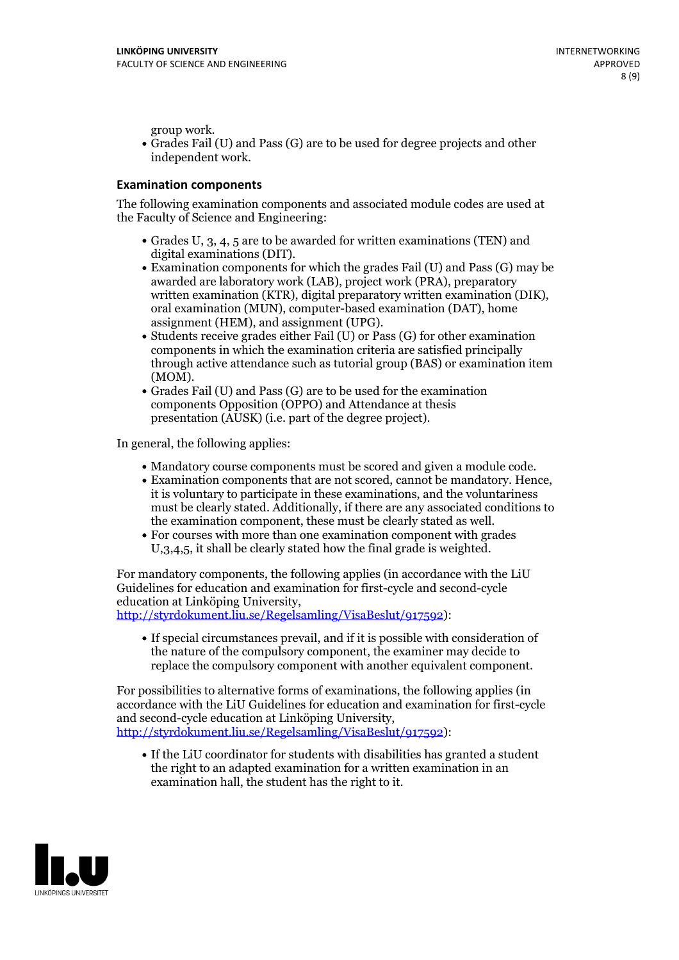group work.<br>• Grades Fail (U) and Pass (G) are to be used for degree projects and other independent work.

### **Examination components**

The following examination components and associated module codes are used at the Faculty of Science and Engineering:

- Grades U, 3, 4, 5 are to be awarded for written examinations (TEN) and
- digital examinations (DIT).<br>• Examination components for which the grades Fail (U) and Pass (G) may be awarded are laboratory work (LAB), project work (PRA), preparatory written examination (KTR), digital preparatory written examination (DIK), oral examination (MUN), computer-based examination (DAT), home
- assignment (HEM), and assignment (UPG).<br>• Students receive grades either Fail (U) or Pass (G) for other examination components in which the examination criteria are satisfied principally through active attendance such as tutorial group (BAS) or examination item
- (MOM).<br>• Grades Fail (U) and Pass (G) are to be used for the examination components Opposition (OPPO) and Attendance at thesis presentation (AUSK) (i.e. part of the degree project).

In general, the following applies:

- 
- Mandatory course components must be scored and given <sup>a</sup> module code. Examination components that are not scored, cannot be mandatory. Hence, it is voluntary to participate in these examinations, and the voluntariness must be clearly stated. Additionally, if there are any associated conditions to
- the examination component, these must be clearly stated as well.<br>• For courses with more than one examination component with grades U,3,4,5, it shall be clearly stated how the final grade is weighted.

For mandatory components, the following applies (in accordance with the LiU Guidelines for education and examination for first-cycle and second-cycle education at Linköping University,<br>[http://styrdokument.liu.se/Regelsamling/VisaBeslut/917592\)](http://styrdokument.liu.se/Regelsamling/VisaBeslut/917592):

If special circumstances prevail, and if it is possible with consideration of the nature of the compulsory component, the examiner may decide to replace the compulsory component with another equivalent component.

For possibilities to alternative forms of examinations, the following applies (in accordance with the LiU Guidelines for education and examination for first-cycle [http://styrdokument.liu.se/Regelsamling/VisaBeslut/917592\)](http://styrdokument.liu.se/Regelsamling/VisaBeslut/917592):

If the LiU coordinator for students with disabilities has granted a student the right to an adapted examination for a written examination in an examination hall, the student has the right to it.